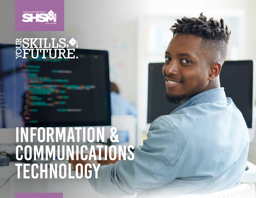

# SSKILLS.

## INFORMATION & COMMUNICATIONS TECHNOLOGY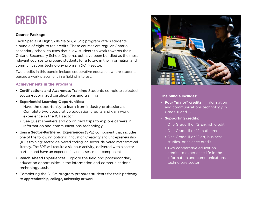## credits

#### **Course Package**

Each Specialist High Skills Major (SHSM) program offers students a bundle of eight to ten credits. These courses are regular Ontario secondary school courses that allow students to work towards their Ontario Secondary School Diploma, but have been bundled as the most relevant courses to prepare students for a future in the information and communications technology program (ICT) sector.

Two credits in this bundle include cooperative education where students pursue a work placement in a field of interest.

#### **Achievements in the Program**

- **Certifications and Awareness Training:** Students complete selected sector-recognized certifications and training
- **Experiential Learning Opportunities:**
	- Have the opportunity to learn from industry professionals
	- Complete two cooperative education credits and gain work experience in the ICT sector
	- See guest speakers and go on field trips to explore careers in information and communications technology
- Gain a **Sector-Partnered Experiences** (SPE) component that includes one of the following options: Innovation Creativity and Entrepreneurship (ICE) training; sector-delivered coding; or, sector-delivered mathematical literacy. The SPE will require a six hour activity, delivered with a sector partner and have an experiential and assessment component
- **Reach Ahead Experiences**: Explore the field and postsecondary education opportunities in the information and communications technology sector
- Completing the SHSM program prepares students for their pathway to **apprenticeship, college, university or work**



#### **The bundle includes:**

- **Four "major" credits** in information and communications technology in Grade 11 and 12
- **Supporting credits:**
	- One Grade 11 or 12 English credit
	- One Grade 11 or 12 math credit
	- One Grade 11 or 12 art, business studies, or science credit
	- Two cooperative education credits to experience life in the information and communications technology sector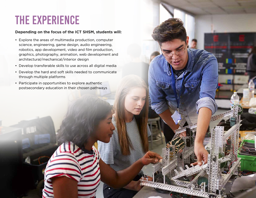## The Experience

#### **Depending on the focus of the ICT SHSM, students will:**

- Explore the areas of multimedia production, computer science, engineering, game design, audio engineering, robotics, app development, video and film production, graphics, photography, animation, web development and architectural/mechanical/interior design
- Develop transferable skills to use across all digital media
- Develop the hard and soft skills needed to communicate through multiple platforms
- Participate in opportunities to explore authentic postsecondary education in their chosen pathways